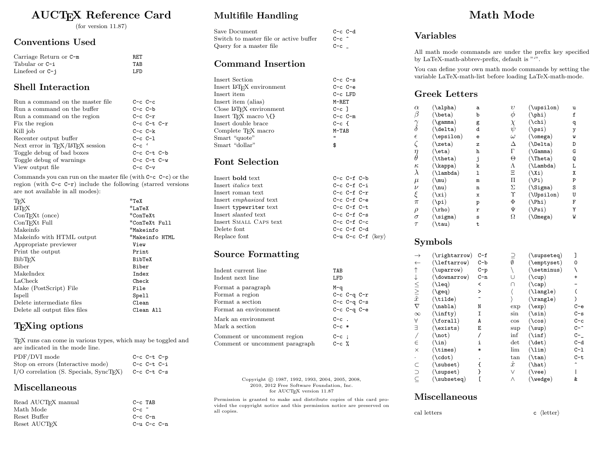## AUCTEX Reference Card

(for version 11.87)

### Conventions Used

| Carriage Return or C-m | RET  |
|------------------------|------|
| Tabular or C-i         | TAR  |
| Linefeed or $C - j$    | LFD. |

### Shell Interaction

| Run a command on the master file      | $C-c$ $C-c$       |
|---------------------------------------|-------------------|
| Run a command on the buffer           | $C-c$ $C-b$       |
| Run a command on the region           | $C-c$ $C-r$       |
| Fix the region                        | $C-c$ $C-t$ $C-r$ |
| Kill job                              | $C-c$ $C-k$       |
| Recenter output buffer                | $C-c C-1$         |
| Next error in $T_F X / T_F X$ session | $C-c$             |
| Toggle debug of bad boxes             | $C-c$ $C-t$ $C-b$ |
| Toggle debug of warnings              | $C-c$ $C-t$ $C-w$ |
| View output file                      | $C-c$ $C-v$       |

Commands you can run on the master file (with C-c C-c) or the region (with C-c C-r) include the following (starred versions are not available in all modes):

| $*$ TeX        |
|----------------|
| $*$ LaTeX      |
| $*$ ConTeXt    |
| *ConTeXt Full  |
| *Makeinfo      |
| *Makeinfo HTML |
| View           |
| Print          |
| BibTeX         |
| Biber          |
| Index          |
| Check          |
| File           |
| Spell          |
| Clean          |
| Clean All      |
|                |

## T<sub>F</sub>Xing options

TEX runs can come in various types, which may be toggled and are indicated in the mode line. PDF/DVI mode C-c C-t C-p

| $1 + 1 + 1 + 1 = 1$                         | 0 0 0 0 0 p       |  |
|---------------------------------------------|-------------------|--|
| Stop on errors (Interactive mode)           | $C-c$ $C-t$ $C-i$ |  |
| $I/O$ correlation (S. Specials, $SyncTFX$ ) | $C-c$ $C-t$ $C-s$ |  |
|                                             |                   |  |

## Miscellaneous

| $C-c$ TAB         |
|-------------------|
| $C-c$ $\tilde{c}$ |
| $C-c$ $C-n$       |
| $C-u$ $C-c$ $C-n$ |
|                   |

## Multifile Handling

| Save Document                          | $C-c$ $C-d$     |  |
|----------------------------------------|-----------------|--|
| Switch to master file or active buffer | $C-c$ $\hat{c}$ |  |
| Query for a master file                | $C-c$           |  |

#### Command Insertion

| Insert Section                                 | $C-c$ $C-s$  |
|------------------------------------------------|--------------|
| Insert IAT <sub>F</sub> X environment          | $C-c$ $C-e$  |
| Insert item                                    | $C-c$ LFD    |
| Insert item (alias)                            | M-RET        |
| Close IAT <sub>F</sub> X environment           | $C-c$ 1      |
| Insert T <sub>F</sub> X macro $\setminus \{\}$ | $C-c$ $C-m$  |
| Insert double brace                            | $C-c$ f      |
| Complete T <sub>F</sub> X macro                | $M-TAB$      |
| Smart "quote"                                  | $\mathbf{u}$ |
| Smart "dollar"                                 | \$           |
|                                                |              |

#### Font Selection

| Insert <b>bold</b> text       | $C-c$ $C-f$ $C-b$                        |
|-------------------------------|------------------------------------------|
| Insert <i>italics</i> text    | $C-c$ $C-f$ $C-i$                        |
| Insert roman text             | $C-c$ $C-f$ $C-r$                        |
| Insert <i>emphasized</i> text | $C-c$ $C-f$ $C-e$                        |
| Insert typewriter text        | $C-c$ $C-f$ $C-t$                        |
| Insert slanted text           | $C-c$ $C-f$ $C-s$                        |
| Insert SMALL CAPS text        | $C-c$ $C-f$ $C-c$                        |
| Delete font                   | $C-c$ $C-f$ $C-d$                        |
| Replace font                  | C-u C-c C-f $\langle \text{key} \rangle$ |
|                               |                                          |

### Source Formatting

| Indent current line<br>Indent next line                                            | TAB<br>LFD         |                                                             |  |
|------------------------------------------------------------------------------------|--------------------|-------------------------------------------------------------|--|
| Format a paragraph<br>Format a region<br>Format a section<br>Format an environment | M-a                | $C-c$ $C-q$ $C-r$<br>$C-c$ $C-q$ $C-s$<br>$C-c$ $C-q$ $C-e$ |  |
| Mark an environment<br>Mark a section                                              | $C-c$ .<br>$C-c$ * |                                                             |  |
| Comment or uncomment region<br>Comment or uncomment paragraph                      | $C-C$ :<br>$C-c$ % |                                                             |  |

Copyright © 1987, 1992, 1993, 2004, 2005, 2008, 2010, 2012 Free Software Foundation, Inc. for AUCTEX version 11.87

Permission is granted to make and distribute copies of this card provided the copyright notice and this permission notice are preserved on all copies.

# Math Mode

### Variables

All math mode commands are under the prefix key specified by LaTeX-math-abbrev-prefix, default is "".

You can define your own math mode commands by setting the variable LaTeX-math-list before loading LaTeX-math-mode.

#### Greek Letters

| $\alpha$                    | $(\lambda)$        | a | υ        | $(\nupsilon)$              | u |
|-----------------------------|--------------------|---|----------|----------------------------|---|
| $\beta$                     | $(\beta)$          | b | $\phi$   | $(\phi h)$                 | £ |
| $\stackrel{\gamma}{\delta}$ | $(\lambda)$ gamma) | g | X,       | $(\chi_{\text{chi}})$      | q |
|                             | $(\delta)$         | d | ψ        | (\psi)                     | у |
| $\epsilon$                  | $(\epsilon)$       | e | $\omega$ | $(\Omega)$                 | M |
| $\zeta$                     | $(\zeta)$          | z | Δ        | $(\Delta)$                 | D |
| $\stackrel{\eta}{\theta}$   | $(\text{eta})$     | h | Г        | $(\lambda \texttt{Gamma})$ | G |
|                             | $(\theta)$         | j | Θ        | $(\Delta)$                 | Q |
| $\kappa$                    | (\kappa)           | k | Λ        | $(\Lambda)$                | Г |
| $\lambda$                   | $(\lambda)$ ambda) | 1 | Ξ        | $(\lambda x_i)$            | Χ |
| $\mu$                       | $(\mu)$            | m | П        | $(\forall P_i)$            | P |
| $\nu$                       | (\nu)              | n | Σ        | $(\text{Sigma})$           | S |
| ξ                           | (\xi)              | x | Υ        | $(\Upsilon)$               | U |
| $\pi$                       | (\pi)              | p | Φ        | $(\Phi)$                   | F |
| $\rho$                      | $(\rho)$           | r | Ψ        | (N s i)                    | Y |
| $\sigma$                    | $(\text{sigma})$   | S | Ω        | $(\Omega)$                 | W |
| $\tau$                      | (\tau)             | t |          |                            |   |

#### Symbols

| $(\rightarrow \text{rightarrow})$ | $C - f$ | ⊇            | $(\text{supseteq})$    |                            |
|-----------------------------------|---------|--------------|------------------------|----------------------------|
| $(\text{leftarrow})$              | $C - b$ | Ø            | $(\text{emptyset})$    | 0                          |
| $(\nu)$                           | $C-p$   |              | $(\setminus$ setminus) |                            |
| $(\lambda)$                       | $C-n$   |              | $(\text{cup})$         |                            |
| $(\lambda 1eq)$                   | <       | ∩            | $(\setminus$ cap)      |                            |
| $(\lambda_{\mathsf{geq})}$        | >       |              | $(\lambda)$ angle)     |                            |
| $(\tilde{\lambda})$               |         |              | $(\lambda)$            |                            |
| $(\nabla)$                        | N       | exp          | (\exp)                 | С-е                        |
| $(\infty)$                        | Ι       | $\sin$       | $(\sin)$               | $C-S$                      |
| $(\forall \mathtt{forall})$       | A       | $\cos$       | $(\setminus \cos)$     | $C-c$                      |
| (\exists)                         | Ε       | sup          | $(\text{sup})$         | C−^                        |
| $(\text{not})$                    |         | inf          | $(\ln f)$              | $C -$                      |
| $(\sin)$                          | i       | $_{\rm det}$ | $(\text{det})$         | $C-d$                      |
| $(\lambda)$                       | *       | lim          | $(\lambda$ lim $)$     | $C-1$                      |
| $(\texttt{cdot})$                 |         | $\tan$       | $(\tan)$               | $C-t$                      |
| $(\verb \subset )$                |         | $\hat{x}$    | $(\hat{\lambda})$      |                            |
| (\supset)                         |         | V            | (\vee)                 |                            |
| $(\verb \subseteq )$              |         | Λ            |                        | &                          |
|                                   |         |              |                        | $(\forall \texttt{wedge})$ |

#### Miscellaneous

cal letters  $\qquad \qquad c \quad \langle \text{letter} \rangle$